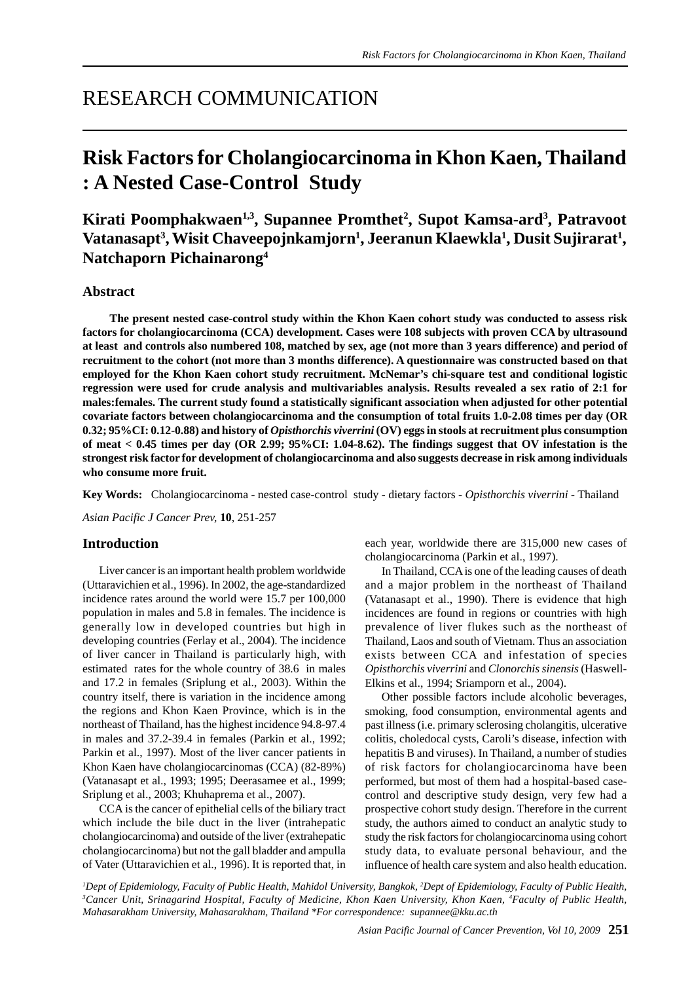## RESEARCH COMMUNICATION

# **Risk Factors for Cholangiocarcinoma in Khon Kaen, Thailand : A Nested Case-Control Study**

**Kirati Poomphakwaen1,3, Supannee Promthet2 , Supot Kamsa-ard3 , Patravoot Vatanasapt3 , Wisit Chaveepojnkamjorn1 , Jeeranun Klaewkla1 , Dusit Sujirarat1 , Natchaporn Pichainarong4**

## **Abstract**

 **The present nested case-control study within the Khon Kaen cohort study was conducted to assess risk factors for cholangiocarcinoma (CCA) development. Cases were 108 subjects with proven CCA by ultrasound at least and controls also numbered 108, matched by sex, age (not more than 3 years difference) and period of recruitment to the cohort (not more than 3 months difference). A questionnaire was constructed based on that employed for the Khon Kaen cohort study recruitment. McNemar's chi-square test and conditional logistic regression were used for crude analysis and multivariables analysis. Results revealed a sex ratio of 2:1 for males:females. The current study found a statistically significant association when adjusted for other potential covariate factors between cholangiocarcinoma and the consumption of total fruits 1.0-2.08 times per day (OR 0.32; 95%CI: 0.12-0.88) and history of** *Opisthorchis viverrini* **(OV) eggs in stools at recruitment plus consumption of meat < 0.45 times per day (OR 2.99; 95%CI: 1.04-8.62). The findings suggest that OV infestation is the strongest risk factor for development of cholangiocarcinoma and also suggests decrease in risk among individuals who consume more fruit.**

**Key Words:** Cholangiocarcinoma - nested case-control study - dietary factors - *Opisthorchis viverrini* - Thailand

*Asian Pacific J Cancer Prev,* **10**, 251-257

## **Introduction**

Liver cancer is an important health problem worldwide (Uttaravichien et al., 1996). In 2002, the age-standardized incidence rates around the world were 15.7 per 100,000 population in males and 5.8 in females. The incidence is generally low in developed countries but high in developing countries (Ferlay et al., 2004). The incidence of liver cancer in Thailand is particularly high, with estimated rates for the whole country of 38.6 in males and 17.2 in females (Sriplung et al., 2003). Within the country itself, there is variation in the incidence among the regions and Khon Kaen Province, which is in the northeast of Thailand, has the highest incidence 94.8-97.4 in males and 37.2-39.4 in females (Parkin et al., 1992; Parkin et al., 1997). Most of the liver cancer patients in Khon Kaen have cholangiocarcinomas (CCA) (82-89%) (Vatanasapt et al., 1993; 1995; Deerasamee et al., 1999; Sriplung et al., 2003; Khuhaprema et al., 2007).

CCA is the cancer of epithelial cells of the biliary tract which include the bile duct in the liver (intrahepatic cholangiocarcinoma) and outside of the liver (extrahepatic cholangiocarcinoma) but not the gall bladder and ampulla of Vater (Uttaravichien et al., 1996). It is reported that, in

each year, worldwide there are 315,000 new cases of cholangiocarcinoma (Parkin et al., 1997).

In Thailand, CCA is one of the leading causes of death and a major problem in the northeast of Thailand (Vatanasapt et al., 1990). There is evidence that high incidences are found in regions or countries with high prevalence of liver flukes such as the northeast of Thailand, Laos and south of Vietnam. Thus an association exists between CCA and infestation of species *Opisthorchis viverrini* and *Clonorchis sinensis* (Haswell-Elkins et al., 1994; Sriamporn et al., 2004).

Other possible factors include alcoholic beverages, smoking, food consumption, environmental agents and past illness (i.e. primary sclerosing cholangitis, ulcerative colitis, choledocal cysts, Caroli's disease, infection with hepatitis B and viruses). In Thailand, a number of studies of risk factors for cholangiocarcinoma have been performed, but most of them had a hospital-based casecontrol and descriptive study design, very few had a prospective cohort study design. Therefore in the current study, the authors aimed to conduct an analytic study to study the risk factors for cholangiocarcinoma using cohort study data, to evaluate personal behaviour, and the influence of health care system and also health education.

*1 Dept of Epidemiology, Faculty of Public Health, Mahidol University, Bangkok, 2 Dept of Epidemiology, Faculty of Public Health, 3 Cancer Unit, Srinagarind Hospital, Faculty of Medicine, Khon Kaen University, Khon Kaen, 4 Faculty of Public Health, Mahasarakham University, Mahasarakham, Thailand \*For correspondence: supannee@kku.ac.th*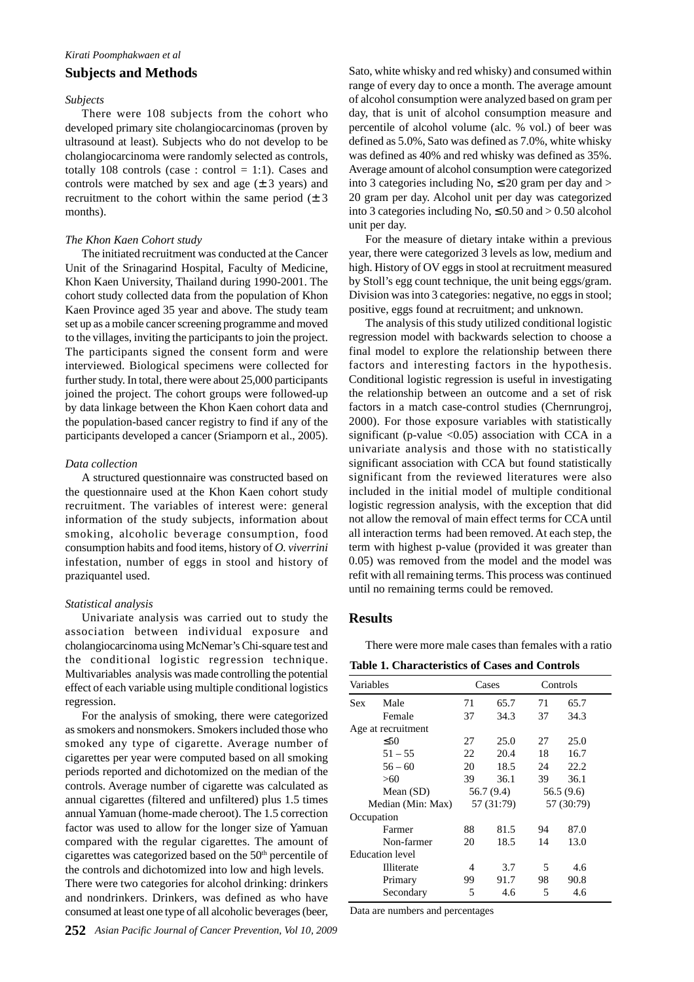#### **Subjects and Methods**

### *Subjects*

There were 108 subjects from the cohort who developed primary site cholangiocarcinomas (proven by ultrasound at least). Subjects who do not develop to be cholangiocarcinoma were randomly selected as controls, totally 108 controls (case : control  $= 1:1$ ). Cases and controls were matched by sex and age  $(\pm 3 \text{ years})$  and recruitment to the cohort within the same period  $(\pm 3)$ months).

#### *The Khon Kaen Cohort study*

The initiated recruitment was conducted at the Cancer Unit of the Srinagarind Hospital, Faculty of Medicine, Khon Kaen University, Thailand during 1990-2001. The cohort study collected data from the population of Khon Kaen Province aged 35 year and above. The study team set up as a mobile cancer screening programme and moved to the villages, inviting the participants to join the project. The participants signed the consent form and were interviewed. Biological specimens were collected for further study. In total, there were about 25,000 participants joined the project. The cohort groups were followed-up by data linkage between the Khon Kaen cohort data and the population-based cancer registry to find if any of the participants developed a cancer (Sriamporn et al., 2005).

#### *Data collection*

A structured questionnaire was constructed based on the questionnaire used at the Khon Kaen cohort study recruitment. The variables of interest were: general information of the study subjects, information about smoking, alcoholic beverage consumption, food consumption habits and food items, history of *O. viverrini* infestation, number of eggs in stool and history of praziquantel used.

#### *Statistical analysis*

Univariate analysis was carried out to study the association between individual exposure and cholangiocarcinoma using McNemar's Chi-square test and the conditional logistic regression technique. Multivariables analysis was made controlling the potential effect of each variable using multiple conditional logistics regression.

For the analysis of smoking, there were categorized as smokers and nonsmokers. Smokers included those who smoked any type of cigarette. Average number of cigarettes per year were computed based on all smoking periods reported and dichotomized on the median of the controls. Average number of cigarette was calculated as annual cigarettes (filtered and unfiltered) plus 1.5 times annual Yamuan (home-made cheroot). The 1.5 correction factor was used to allow for the longer size of Yamuan compared with the regular cigarettes. The amount of cigarettes was categorized based on the 50<sup>th</sup> percentile of the controls and dichotomized into low and high levels. There were two categories for alcohol drinking: drinkers and nondrinkers. Drinkers, was defined as who have consumed at least one type of all alcoholic beverages (beer,

Sato, white whisky and red whisky) and consumed within range of every day to once a month. The average amount of alcohol consumption were analyzed based on gram per day, that is unit of alcohol consumption measure and percentile of alcohol volume (alc. % vol.) of beer was defined as 5.0%, Sato was defined as 7.0%, white whisky was defined as 40% and red whisky was defined as 35%. Average amount of alcohol consumption were categorized into 3 categories including No,  $\leq 20$  gram per day and  $>$ 20 gram per day. Alcohol unit per day was categorized into 3 categories including No,  $\leq 0.50$  and  $> 0.50$  alcohol unit per day.

For the measure of dietary intake within a previous year, there were categorized 3 levels as low, medium and high. History of OV eggs in stool at recruitment measured by Stoll's egg count technique, the unit being eggs/gram. Division was into 3 categories: negative, no eggs in stool; positive, eggs found at recruitment; and unknown.

The analysis of this study utilized conditional logistic regression model with backwards selection to choose a final model to explore the relationship between there factors and interesting factors in the hypothesis. Conditional logistic regression is useful in investigating the relationship between an outcome and a set of risk factors in a match case-control studies (Chernrungroj, 2000). For those exposure variables with statistically significant (p-value  $\langle 0.05 \rangle$  association with CCA in a univariate analysis and those with no statistically significant association with CCA but found statistically significant from the reviewed literatures were also included in the initial model of multiple conditional logistic regression analysis, with the exception that did not allow the removal of main effect terms for CCA until all interaction terms had been removed. At each step, the term with highest p-value (provided it was greater than 0.05) was removed from the model and the model was refit with all remaining terms. This process was continued until no remaining terms could be removed.

## **Results**

There were more male cases than females with a ratio

**Table 1. Characteristics of Cases and Controls**

| Variables              |                    | Cases      |            |            | Controls   |  |
|------------------------|--------------------|------------|------------|------------|------------|--|
| Sex                    | Male               | 71         | 65.7       | 71         | 65.7       |  |
|                        | Female             | 37         | 34.3       | 37         | 34.3       |  |
|                        | Age at recruitment |            |            |            |            |  |
|                        | $\leq 50$          | 27         | 25.0       | 27         | 25.0       |  |
|                        | $51 - 55$          | 22         | 20.4       | 18         | 16.7       |  |
|                        | $56 - 60$          | 20         | 18.5       | 24         | 22.2       |  |
|                        | >60                | 39         | 36.1       | 39         | 36.1       |  |
|                        | Mean $(SD)$        |            | 56.7 (9.4) |            | 56.5 (9.6) |  |
| Median (Min: Max)      |                    | 57 (31:79) |            | 57 (30:79) |            |  |
|                        | Occupation         |            |            |            |            |  |
|                        | Farmer             | 88         | 81.5       | 94         | 87.0       |  |
|                        | Non-farmer         | 20         | 18.5       | 14         | 13.0       |  |
| <b>Education</b> level |                    |            |            |            |            |  |
|                        | <b>Illiterate</b>  | 4          | 3.7        | 5          | 4.6        |  |
|                        | Primary            | 99         | 91.7       | 98         | 90.8       |  |
|                        | Secondary          | 5          | 4.6        | 5          | 4.6        |  |

Data are numbers and percentages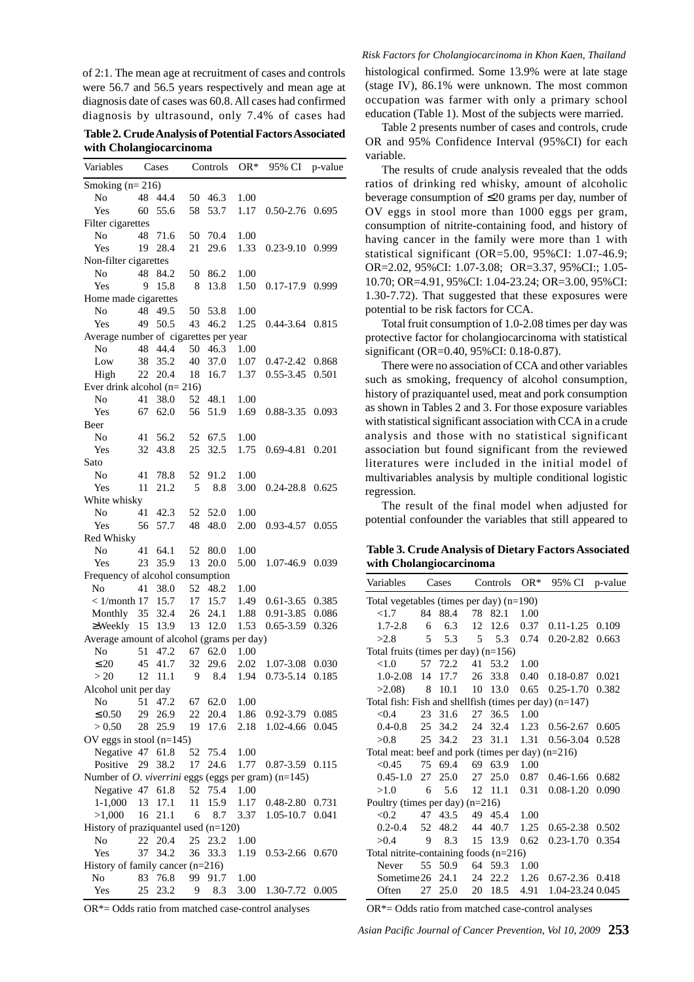of 2:1. The mean age at recruitment of cases and controls were 56.7 and 56.5 years respectively and mean age at diagnosis date of cases was 60.8. All cases had confirmed diagnosis by ultrasound, only 7.4% of cases had

**Table 2. Crude Analysis of Potential Factors Associated with Cholangiocarcinoma**

| Variables                                                  |                                  | Cases   |    | Controls | OR*  | 95% CI          | p-value |  |
|------------------------------------------------------------|----------------------------------|---------|----|----------|------|-----------------|---------|--|
| Smoking $(n=216)$                                          |                                  |         |    |          |      |                 |         |  |
| No                                                         |                                  | 48 44.4 | 50 | 46.3     | 1.00 |                 |         |  |
| Yes                                                        | 60                               | 55.6    | 58 | 53.7     | 1.17 | $0.50 - 2.76$   | 0.695   |  |
| Filter cigarettes                                          |                                  |         |    |          |      |                 |         |  |
| No                                                         |                                  | 48 71.6 | 50 | 70.4     | 1.00 |                 |         |  |
| Yes                                                        | 19                               | 28.4    | 21 | 29.6     | 1.33 | 0.23-9.10 0.999 |         |  |
|                                                            |                                  |         |    |          |      |                 |         |  |
| Non-filter cigarettes                                      |                                  |         |    |          |      |                 |         |  |
| No                                                         | 48                               | 84.2    | 50 | 86.2     | 1.00 |                 |         |  |
| Yes                                                        | 9                                | 15.8    | 8  | 13.8     | 1.50 | $0.17 - 17.9$   | 0.999   |  |
| Home made cigarettes                                       |                                  |         |    |          |      |                 |         |  |
| No                                                         | 48                               | 49.5    | 50 | 53.8     | 1.00 |                 |         |  |
| Yes                                                        | 49                               | 50.5    | 43 | 46.2     | 1.25 | 0.44-3.64 0.815 |         |  |
| Average number of cigarettes per year                      |                                  |         |    |          |      |                 |         |  |
| No                                                         | 48                               | 44.4    | 50 | 46.3     | 1.00 |                 |         |  |
| Low                                                        | 38                               | 35.2    | 40 | 37.0     | 1.07 | 0.47-2.42       | 0.868   |  |
| High                                                       | 22                               | 20.4    | 18 | 16.7     | 1.37 | $0.55 - 3.45$   | 0.501   |  |
| Ever drink alcohol $(n=216)$                               |                                  |         |    |          |      |                 |         |  |
| No                                                         | 41                               | 38.0    | 52 | 48.1     | 1.00 |                 |         |  |
| Yes                                                        | 67                               | 62.0    | 56 | 51.9     | 1.69 | 0.88-3.35       | 0.093   |  |
| Beer                                                       |                                  |         |    |          |      |                 |         |  |
| No                                                         | 41                               | 56.2    | 52 | 67.5     | 1.00 |                 |         |  |
| Yes                                                        | 32                               | 43.8    | 25 | 32.5     | 1.75 | 0.69-4.81       | 0.201   |  |
| Sato                                                       |                                  |         |    |          |      |                 |         |  |
| No                                                         | 41                               | 78.8    | 52 | 91.2     | 1.00 |                 |         |  |
| Yes                                                        | 11                               | 21.2    | 5  | 8.8      | 3.00 | $0.24 - 28.8$   | 0.625   |  |
| White whisky                                               |                                  |         |    |          |      |                 |         |  |
| No                                                         | 41                               | 42.3    | 52 | 52.0     | 1.00 |                 |         |  |
| Yes                                                        | 56                               | 57.7    | 48 | 48.0     | 2.00 | 0.93-4.57       | 0.055   |  |
|                                                            |                                  |         |    |          |      |                 |         |  |
| Red Whisky                                                 |                                  |         | 52 | 80.0     |      |                 |         |  |
| No                                                         | 41                               | 64.1    |    |          | 1.00 |                 |         |  |
| Yes                                                        | 23                               | 35.9    | 13 | 20.0     | 5.00 | 1.07-46.9 0.039 |         |  |
| Frequency of alcohol consumption                           |                                  |         |    |          |      |                 |         |  |
| No                                                         | 41                               | 38.0    | 52 | 48.2     | 1.00 |                 |         |  |
| $< 1/m$ onth 17                                            |                                  | 15.7    | 17 | 15.7     | 1.49 | $0.61 - 3.65$   | 0.385   |  |
| Monthly                                                    | 35                               | 32.4    | 26 | 24.1     | 1.88 | 0.91-3.85       | 0.086   |  |
| $\geq$ Weekly 15                                           |                                  | 13.9    | 13 | 12.0     | 1.53 | $0.65 - 3.59$   | 0.326   |  |
| Average amount of alcohol (grams per day)                  |                                  |         |    |          |      |                 |         |  |
| No                                                         | 51                               | 47.2    | 67 | 62.0     | 1.00 |                 |         |  |
| $\leq 20$                                                  | 45                               | 41.7    | 32 | 29.6     | 2.02 | 1.07-3.08       | 0.030   |  |
| >20                                                        | 12                               | 11.1    | 9  | 8.4      | 1.94 | $0.73 - 5.14$   | 0.185   |  |
| Alcohol unit per day                                       |                                  |         |    |          |      |                 |         |  |
| No                                                         | 51                               | 47.2    | 67 | 62.0     | 1.00 |                 |         |  |
| $\leq 0.50$                                                | 29                               | 26.9    | 22 | 20.4     | 1.86 | $0.92 - 3.79$   | 0.085   |  |
| > 0.50                                                     | 28                               | 25.9    | 19 | 17.6     | 2.18 | 1.02-4.66       | 0.045   |  |
| OV eggs in stool $(n=145)$                                 |                                  |         |    |          |      |                 |         |  |
| Negative 47                                                |                                  | 61.8    | 52 | 75.4     | 1.00 |                 |         |  |
| Positive                                                   | 29                               | 38.2    | 17 | 24.6     | 1.77 | $0.87 - 3.59$   | 0.115   |  |
| Number of <i>O. viverrini</i> eggs (eggs per gram) (n=145) |                                  |         |    |          |      |                 |         |  |
| Negative 47                                                |                                  | 61.8    | 52 | 75.4     | 1.00 |                 |         |  |
| $1-1,000$                                                  | 13                               | 17.1    | 11 | 15.9     | 1.17 | 0.48-2.80       | 0.731   |  |
| >1,000                                                     | 16                               | 21.1    | 6  | 8.7      | 3.37 | 1.05-10.7       | 0.041   |  |
|                                                            |                                  |         |    |          |      |                 |         |  |
| History of praziquantel used $(n=120)$                     |                                  |         |    |          |      |                 |         |  |
| No                                                         | 22                               | 20.4    | 25 | 23.2     | 1.00 |                 |         |  |
| Yes                                                        | 37                               | 34.2    | 36 | 33.3     | 1.19 | 0.53-2.66       | 0.670   |  |
|                                                            | History of family cancer (n=216) |         |    |          |      |                 |         |  |
| No                                                         | 83                               | 76.8    | 99 | 91.7     | 1.00 |                 |         |  |
| Yes                                                        | 25                               | 23.2    | 9  | 8.3      | 3.00 | 1.30-7.72       | 0.005   |  |

*Risk Factors for Cholangiocarcinoma in Khon Kaen, Thailand* histological confirmed. Some 13.9% were at late stage (stage IV), 86.1% were unknown. The most common occupation was farmer with only a primary school education (Table 1). Most of the subjects were married.

Table 2 presents number of cases and controls, crude OR and 95% Confidence Interval (95%CI) for each variable.

The results of crude analysis revealed that the odds ratios of drinking red whisky, amount of alcoholic beverage consumption of ≤20 grams per day, number of OV eggs in stool more than 1000 eggs per gram, consumption of nitrite-containing food, and history of having cancer in the family were more than 1 with statistical significant (OR=5.00, 95%CI: 1.07-46.9; OR=2.02, 95%CI: 1.07-3.08; OR=3.37, 95%CI:; 1.05- 10.70; OR=4.91, 95%CI: 1.04-23.24; OR=3.00, 95%CI: 1.30-7.72). That suggested that these exposures were potential to be risk factors for CCA.

Total fruit consumption of 1.0-2.08 times per day was protective factor for cholangiocarcinoma with statistical significant (OR=0.40, 95%CI: 0.18-0.87).

There were no association of CCA and other variables such as smoking, frequency of alcohol consumption, history of praziquantel used, meat and pork consumption as shown in Tables 2 and 3. For those exposure variables with statistical significant association with CCA in a crude analysis and those with no statistical significant association but found significant from the reviewed literatures were included in the initial model of multivariables analysis by multiple conditional logistic regression.

The result of the final model when adjusted for potential confounder the variables that still appeared to

**Table 3. Crude Analysis of Dietary Factors Associated with Cholangiocarcinoma**

| Variables                                                 |                                            | Cases   |    | Controls        | $OR*$ | 95% CI              | p-value |  |
|-----------------------------------------------------------|--------------------------------------------|---------|----|-----------------|-------|---------------------|---------|--|
|                                                           | Total vegetables (times per day) $(n=190)$ |         |    |                 |       |                     |         |  |
| <1.7                                                      |                                            | 84 88.4 | 78 | 82.1            | 1.00  |                     |         |  |
| $1.7 - 2.8$                                               | 6                                          | 6.3     | 12 | 12.6            | 0.37  | $0.11 - 1.25$       | 0.109   |  |
| >2.8                                                      | 5.                                         | 5.3     | .5 | 5.3             | 0.74  | $0.20 - 2.82$       | 0.663   |  |
|                                                           | Total fruits (times per day) $(n=156)$     |         |    |                 |       |                     |         |  |
| <1.0                                                      |                                            | 57 72.2 | 41 | 53.2            | 1.00  |                     |         |  |
| $1.0 - 2.08$                                              | 14                                         | 17.7    | 26 | 33.8            | 0.40  | 0.18-0.87           | 0.021   |  |
| >2.08                                                     | 8                                          | 10.1    | 10 | 13.0            | 0.65  | $0.25 - 1.70$       | 0.382   |  |
| Total fish: Fish and shell fish (times per day) $(n=147)$ |                                            |         |    |                 |       |                     |         |  |
| < 0.4                                                     | 23                                         | 31.6    | 27 | 36.5            | 1.00  |                     |         |  |
| $0.4 - 0.8$                                               | 25                                         | 34.2    | 24 | 32.4            | 1.23  | $0.56 - 2.67$       | 0.605   |  |
| >0.8                                                      | 25                                         | 34.2    | 23 | 31.1            | 1.31  | $0.56 - 3.04$       | 0.528   |  |
| Total meat: beef and pork (times per day) (n=216)         |                                            |         |    |                 |       |                     |         |  |
| < 0.45                                                    | 75                                         | 69.4    | 69 | 63.9            | 1.00  |                     |         |  |
| $0.45 - 1.0$ 27                                           |                                            | 25.0    | 27 | 25.0            | 0.87  | $0.46 - 1.66$       | 0.682   |  |
| >1.0                                                      | 6                                          | 5.6     |    | $12 \quad 11.1$ | 0.31  | $0.08 - 1.20$       | 0.090   |  |
| Poultry (times per day) $(n=216)$                         |                                            |         |    |                 |       |                     |         |  |
| < 0.2                                                     | 47                                         | 43.5    |    | 49 45.4         | 1.00  |                     |         |  |
| $0.2 - 0.4$                                               | 52                                         | 48.2    | 44 | 40.7            | 1.25  | $0.65 - 2.38$       | 0.502   |  |
| > 0.4                                                     | 9                                          | 8.3     | 15 | 13.9            | 0.62  | $0.23 - 1.70$       | 0.354   |  |
| Total nitrite-containing foods $(n=216)$                  |                                            |         |    |                 |       |                     |         |  |
| Never                                                     | 55                                         | 50.9    |    | 64 59.3         | 1.00  |                     |         |  |
| Sometime $26$ 24.1                                        |                                            |         | 24 | 22.2            | 1.26  | $0.67 - 2.36$ 0.418 |         |  |
| Often                                                     | 27                                         | 25.0    | 20 | 18.5            | 4.91  | 1.04-23.24 0.045    |         |  |

OR\*= Odds ratio from matched case-control analyses

OR\*= Odds ratio from matched case-control analyses

*Asian Pacific Journal of Cancer Prevention, Vol 10, 2009* **253**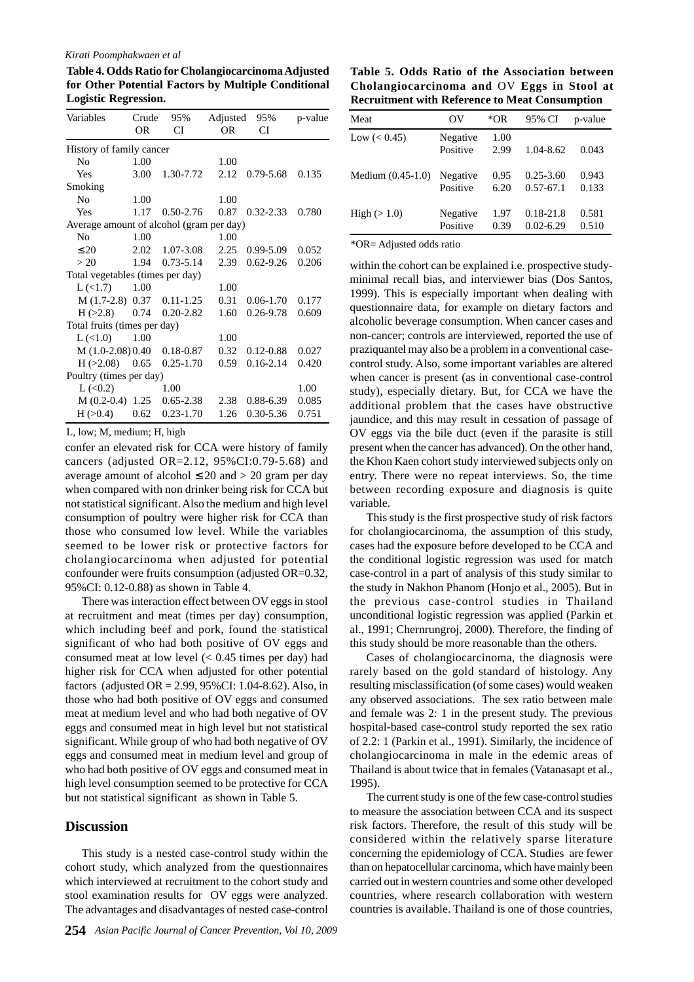#### *Kirati Poomphakwaen et al*

**Table 4. Odds Ratio for Cholangiocarcinoma Adjusted for Other Potential Factors by Multiple Conditional Logistic Regression.**

| Variables                                | Crude     | 95%           | Adjusted | 95%           | p-value |
|------------------------------------------|-----------|---------------|----------|---------------|---------|
|                                          | <b>OR</b> | CI            | OR       | CI            |         |
| History of family cancer                 |           |               |          |               |         |
| No                                       | 1.00      |               | 1.00     |               |         |
| Yes                                      | 3.00      | 1.30-7.72     | 2.12     | 0.79-5.68     | 0.135   |
| Smoking                                  |           |               |          |               |         |
| N <sub>0</sub>                           | 1.00      |               | 1.00     |               |         |
| Yes                                      | 1.17      | $0.50 - 2.76$ | 0.87     | $0.32 - 2.33$ | 0.780   |
| Average amount of alcohol (gram per day) |           |               |          |               |         |
| N <sub>0</sub>                           | 1.00      |               | 1.00     |               |         |
| $\leq 20$                                | 2.02      | 1.07-3.08     | 2.25     | $0.99 - 5.09$ | 0.052   |
| > 20                                     | 1.94      | $0.73 - 5.14$ | 2.39     | $0.62 - 9.26$ | 0.206   |
| Total vegetables (times per day)         |           |               |          |               |         |
| $L \left( 21.7 \right)$                  | 1.00      |               | 1.00     |               |         |
| M (1.7-2.8) 0.37                         |           | $0.11 - 1.25$ | 0.31     | $0.06 - 1.70$ | 0.177   |
| H (>2.8)                                 | 0.74      | $0.20 - 2.82$ | 1.60     | 0.26-9.78     | 0.609   |
| Total fruits (times per day)             |           |               |          |               |         |
| $L \left( 1.0 \right)$                   | 1.00      |               | 1.00     |               |         |
| $M(1.0-2.08)0.40$                        |           | $0.18 - 0.87$ | 0.32     | $0.12 - 0.88$ | 0.027   |
| $H(>2.08)$ 0.65                          |           | $0.25 - 1.70$ | 0.59     | $0.16 - 2.14$ | 0.420   |
| Poultry (times per day)                  |           |               |          |               |         |
| L(<0.2)                                  |           | 1.00          |          |               | 1.00    |
| $M(0.2-0.4)$ 1.25                        |           | $0.65 - 2.38$ | 2.38     | $0.88 - 6.39$ | 0.085   |
| H > 0.4                                  | 0.62      | $0.23 - 1.70$ | 1.26     | $0.30 - 5.36$ | 0.751   |

L, low; M, medium; H, high

confer an elevated risk for CCA were history of family cancers (adjusted OR=2.12, 95%CI:0.79-5.68) and average amount of alcohol  $\leq 20$  and  $> 20$  gram per day when compared with non drinker being risk for CCA but not statistical significant. Also the medium and high level consumption of poultry were higher risk for CCA than those who consumed low level. While the variables seemed to be lower risk or protective factors for cholangiocarcinoma when adjusted for potential confounder were fruits consumption (adjusted OR=0.32, 95%CI: 0.12-0.88) as shown in Table 4.

There was interaction effect between OV eggs in stool at recruitment and meat (times per day) consumption, which including beef and pork, found the statistical significant of who had both positive of OV eggs and consumed meat at low level  $( $0.45$  times per day) had$ higher risk for CCA when adjusted for other potential factors (adjusted OR = 2.99, 95%CI: 1.04-8.62). Also, in those who had both positive of OV eggs and consumed meat at medium level and who had both negative of OV eggs and consumed meat in high level but not statistical significant. While group of who had both negative of OV eggs and consumed meat in medium level and group of who had both positive of OV eggs and consumed meat in high level consumption seemed to be protective for CCA but not statistical significant as shown in Table 5.

## **Discussion**

This study is a nested case-control study within the cohort study, which analyzed from the questionnaires which interviewed at recruitment to the cohort study and stool examination results for OV eggs were analyzed. The advantages and disadvantages of nested case-control

**Table 5. Odds Ratio of the Association between Cholangiocarcinoma and** OV **Eggs in Stool at Recruitment with Reference to Meat Consumption**

| Meat                | OV                   | *OR          | 95% CI                         | p-value        |
|---------------------|----------------------|--------------|--------------------------------|----------------|
| Low $(< 0.45)$      | Negative<br>Positive | 1.00<br>2.99 | $1.04 - 8.62$                  | 0.043          |
| Medium $(0.45-1.0)$ | Negative<br>Positive | 0.95<br>6.20 | $0.25 - 3.60$<br>$0.57 - 67.1$ | 0.943<br>0.133 |
| High $(>1.0)$       | Negative<br>Positive | 1.97<br>0.39 | $0.18 - 21.8$<br>$0.02 - 6.29$ | 0.581<br>0.510 |
|                     |                      |              |                                |                |

\*OR= Adjusted odds ratio

within the cohort can be explained i.e. prospective studyminimal recall bias, and interviewer bias (Dos Santos, 1999). This is especially important when dealing with questionnaire data, for example on dietary factors and alcoholic beverage consumption. When cancer cases and non-cancer; controls are interviewed, reported the use of praziquantel may also be a problem in a conventional casecontrol study. Also, some important variables are altered when cancer is present (as in conventional case-control study), especially dietary. But, for CCA we have the additional problem that the cases have obstructive jaundice, and this may result in cessation of passage of OV eggs via the bile duct (even if the parasite is still present when the cancer has advanced). On the other hand, the Khon Kaen cohort study interviewed subjects only on entry. There were no repeat interviews. So, the time between recording exposure and diagnosis is quite variable.

This study is the first prospective study of risk factors for cholangiocarcinoma, the assumption of this study, cases had the exposure before developed to be CCA and the conditional logistic regression was used for match case-control in a part of analysis of this study similar to the study in Nakhon Phanom (Honjo et al., 2005). But in the previous case-control studies in Thailand unconditional logistic regression was applied (Parkin et al., 1991; Chernrungroj, 2000). Therefore, the finding of this study should be more reasonable than the others.

Cases of cholangiocarcinoma, the diagnosis were rarely based on the gold standard of histology. Any resulting misclassification (of some cases) would weaken any observed associations. The sex ratio between male and female was 2: 1 in the present study. The previous hospital-based case-control study reported the sex ratio of 2.2: 1 (Parkin et al., 1991). Similarly, the incidence of cholangiocarcinoma in male in the edemic areas of Thailand is about twice that in females (Vatanasapt et al., 1995).

The current study is one of the few case-control studies to measure the association between CCA and its suspect risk factors. Therefore, the result of this study will be considered within the relatively sparse literature concerning the epidemiology of CCA. Studies are fewer than on hepatocellular carcinoma, which have mainly been carried out in western countries and some other developed countries, where research collaboration with western countries is available. Thailand is one of those countries,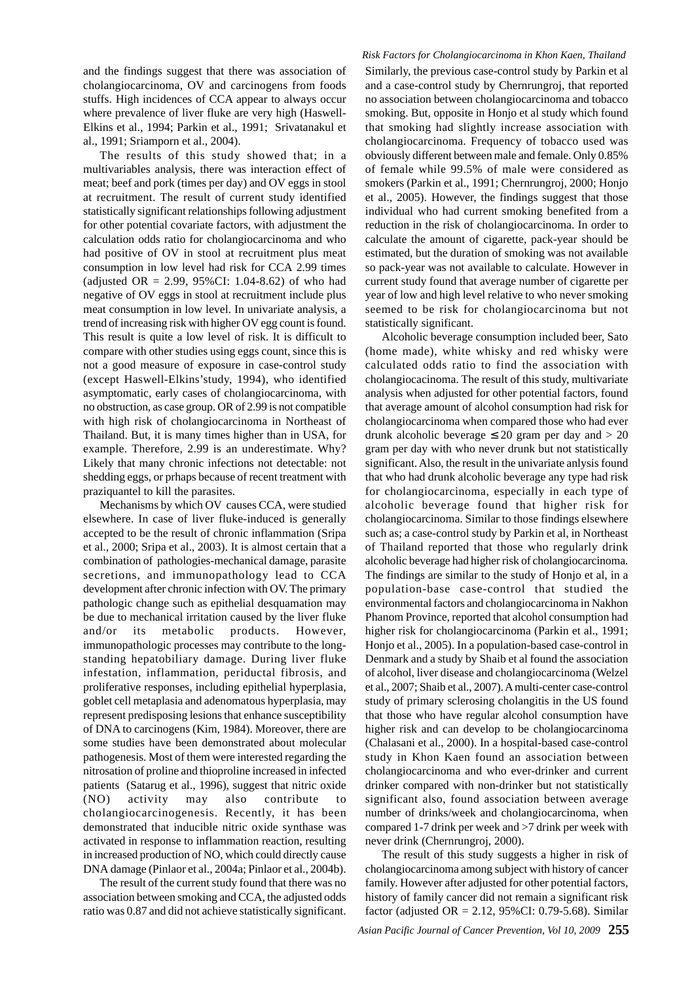and the findings suggest that there was association of cholangiocarcinoma, OV and carcinogens from foods stuffs. High incidences of CCA appear to always occur where prevalence of liver fluke are very high (Haswell-Elkins et al., 1994; Parkin et al., 1991; Srivatanakul et al., 1991; Sriamporn et al., 2004).

The results of this study showed that; in a multivariables analysis, there was interaction effect of meat; beef and pork (times per day) and OV eggs in stool at recruitment. The result of current study identified statistically significant relationships following adjustment for other potential covariate factors, with adjustment the calculation odds ratio for cholangiocarcinoma and who had positive of OV in stool at recruitment plus meat consumption in low level had risk for CCA 2.99 times (adjusted OR = 2.99, 95%CI: 1.04-8.62) of who had negative of OV eggs in stool at recruitment include plus meat consumption in low level. In univariate analysis, a trend of increasing risk with higher OV egg count is found. This result is quite a low level of risk. It is difficult to compare with other studies using eggs count, since this is not a good measure of exposure in case-control study (except Haswell-Elkins'study, 1994), who identified asymptomatic, early cases of cholangiocarcinoma, with no obstruction, as case group. OR of 2.99 is not compatible with high risk of cholangiocarcinoma in Northeast of Thailand. But, it is many times higher than in USA, for example. Therefore, 2.99 is an underestimate. Why? Likely that many chronic infections not detectable: not shedding eggs, or prhaps because of recent treatment with praziquantel to kill the parasites.

Mechanisms by which OV causes CCA, were studied elsewhere. In case of liver fluke-induced is generally accepted to be the result of chronic inflammation (Sripa et al., 2000; Sripa et al., 2003). It is almost certain that a combination of pathologies-mechanical damage, parasite secretions, and immunopathology lead to CCA development after chronic infection with OV. The primary pathologic change such as epithelial desquamation may be due to mechanical irritation caused by the liver fluke and/or its metabolic products. However, immunopathologic processes may contribute to the longstanding hepatobiliary damage. During liver fluke infestation, inflammation, periductal fibrosis, and proliferative responses, including epithelial hyperplasia, goblet cell metaplasia and adenomatous hyperplasia, may represent predisposing lesions that enhance susceptibility of DNA to carcinogens (Kim, 1984). Moreover, there are some studies have been demonstrated about molecular pathogenesis. Most of them were interested regarding the nitrosation of proline and thioproline increased in infected patients (Satarug et al., 1996), suggest that nitric oxide (NO) activity may also contribute to cholangiocarcinogenesis. Recently, it has been demonstrated that inducible nitric oxide synthase was activated in response to inflammation reaction, resulting in increased production of NO, which could directly cause DNA damage (Pinlaor et al., 2004a; Pinlaor et al., 2004b).

The result of the current study found that there was no association between smoking and CCA, the adjusted odds ratio was 0.87 and did not achieve statistically significant.

#### *Risk Factors for Cholangiocarcinoma in Khon Kaen, Thailand*

Similarly, the previous case-control study by Parkin et al and a case-control study by Chernrungroj, that reported no association between cholangiocarcinoma and tobacco smoking. But, opposite in Honjo et al study which found that smoking had slightly increase association with cholangiocarcinoma. Frequency of tobacco used was obviously different between male and female. Only 0.85% of female while 99.5% of male were considered as smokers (Parkin et al., 1991; Chernrungroj, 2000; Honjo et al., 2005). However, the findings suggest that those individual who had current smoking benefited from a reduction in the risk of cholangiocarcinoma. In order to calculate the amount of cigarette, pack-year should be estimated, but the duration of smoking was not available so pack-year was not available to calculate. However in current study found that average number of cigarette per year of low and high level relative to who never smoking seemed to be risk for cholangiocarcinoma but not statistically significant.

Alcoholic beverage consumption included beer, Sato (home made), white whisky and red whisky were calculated odds ratio to find the association with cholangiocacinoma. The result of this study, multivariate analysis when adjusted for other potential factors, found that average amount of alcohol consumption had risk for cholangiocarcinoma when compared those who had ever drunk alcoholic beverage  $\leq 20$  gram per day and  $> 20$ gram per day with who never drunk but not statistically significant. Also, the result in the univariate anlysis found that who had drunk alcoholic beverage any type had risk for cholangiocarcinoma, especially in each type of alcoholic beverage found that higher risk for cholangiocarcinoma. Similar to those findings elsewhere such as; a case-control study by Parkin et al, in Northeast of Thailand reported that those who regularly drink alcoholic beverage had higher risk of cholangiocarcinoma. The findings are similar to the study of Honjo et al, in a population-base case-control that studied the environmental factors and cholangiocarcinoma in Nakhon Phanom Province, reported that alcohol consumption had higher risk for cholangiocarcinoma (Parkin et al., 1991; Honjo et al., 2005). In a population-based case-control in Denmark and a study by Shaib et al found the association of alcohol, liver disease and cholangiocarcinoma (Welzel et al., 2007; Shaib et al., 2007). A multi-center case-control study of primary sclerosing cholangitis in the US found that those who have regular alcohol consumption have higher risk and can develop to be cholangiocarcinoma (Chalasani et al., 2000). In a hospital-based case-control study in Khon Kaen found an association between cholangiocarcinoma and who ever-drinker and current drinker compared with non-drinker but not statistically significant also, found association between average number of drinks/week and cholangiocarcinoma, when compared 1-7 drink per week and >7 drink per week with never drink (Chernrungroj, 2000).

The result of this study suggests a higher in risk of cholangiocarcinoma among subject with history of cancer family. However after adjusted for other potential factors, history of family cancer did not remain a significant risk factor (adjusted OR = 2.12, 95%CI: 0.79-5.68). Similar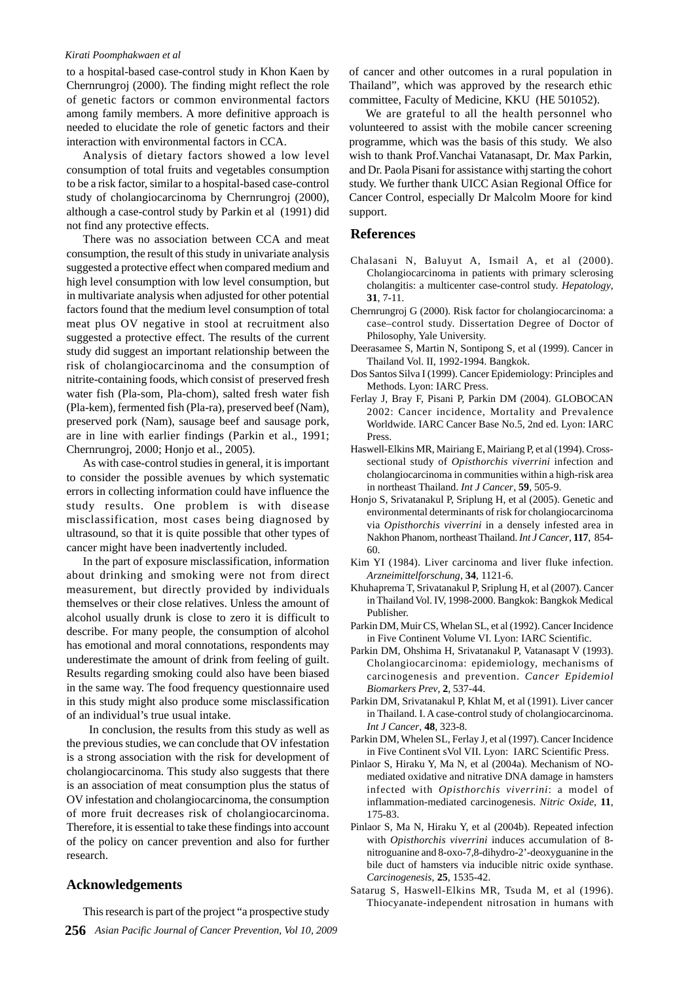#### *Kirati Poomphakwaen et al*

to a hospital-based case-control study in Khon Kaen by Chernrungroj (2000). The finding might reflect the role of genetic factors or common environmental factors among family members. A more definitive approach is needed to elucidate the role of genetic factors and their interaction with environmental factors in CCA.

Analysis of dietary factors showed a low level consumption of total fruits and vegetables consumption to be a risk factor, similar to a hospital-based case-control study of cholangiocarcinoma by Chernrungroj (2000), although a case-control study by Parkin et al (1991) did not find any protective effects.

There was no association between CCA and meat consumption, the result of this study in univariate analysis suggested a protective effect when compared medium and high level consumption with low level consumption, but in multivariate analysis when adjusted for other potential factors found that the medium level consumption of total meat plus OV negative in stool at recruitment also suggested a protective effect. The results of the current study did suggest an important relationship between the risk of cholangiocarcinoma and the consumption of nitrite-containing foods, which consist of preserved fresh water fish (Pla-som, Pla-chom), salted fresh water fish (Pla-kem), fermented fish (Pla-ra), preserved beef (Nam), preserved pork (Nam), sausage beef and sausage pork, are in line with earlier findings (Parkin et al., 1991; Chernrungroj, 2000; Honjo et al., 2005).

As with case-control studies in general, it is important to consider the possible avenues by which systematic errors in collecting information could have influence the study results. One problem is with disease misclassification, most cases being diagnosed by ultrasound, so that it is quite possible that other types of cancer might have been inadvertently included.

In the part of exposure misclassification, information about drinking and smoking were not from direct measurement, but directly provided by individuals themselves or their close relatives. Unless the amount of alcohol usually drunk is close to zero it is difficult to describe. For many people, the consumption of alcohol has emotional and moral connotations, respondents may underestimate the amount of drink from feeling of guilt. Results regarding smoking could also have been biased in the same way. The food frequency questionnaire used in this study might also produce some misclassification of an individual's true usual intake.

 In conclusion, the results from this study as well as the previous studies, we can conclude that OV infestation is a strong association with the risk for development of cholangiocarcinoma. This study also suggests that there is an association of meat consumption plus the status of OV infestation and cholangiocarcinoma, the consumption of more fruit decreases risk of cholangiocarcinoma. Therefore, it is essential to take these findings into account of the policy on cancer prevention and also for further research.

## **Acknowledgements**

**256** *Asian Pacific Journal of Cancer Prevention, Vol 10, 2009* This research is part of the project "a prospective study

of cancer and other outcomes in a rural population in Thailand", which was approved by the research ethic committee, Faculty of Medicine, KKU (HE 501052).

We are grateful to all the health personnel who volunteered to assist with the mobile cancer screening programme, which was the basis of this study. We also wish to thank Prof.Vanchai Vatanasapt, Dr. Max Parkin, and Dr. Paola Pisani for assistance withj starting the cohort study. We further thank UICC Asian Regional Office for Cancer Control, especially Dr Malcolm Moore for kind support.

## **References**

- Chalasani N, Baluyut A, Ismail A, et al (2000). Cholangiocarcinoma in patients with primary sclerosing cholangitis: a multicenter case-control study. *Hepatology*, **31**, 7-11.
- Chernrungroj G (2000). Risk factor for cholangiocarcinoma: a case–control study. Dissertation Degree of Doctor of Philosophy, Yale University.
- Deerasamee S, Martin N, Sontipong S, et al (1999). Cancer in Thailand Vol. II, 1992-1994. Bangkok.
- Dos Santos Silva I (1999). Cancer Epidemiology: Principles and Methods. Lyon: IARC Press.
- Ferlay J, Bray F, Pisani P, Parkin DM (2004). GLOBOCAN 2002: Cancer incidence, Mortality and Prevalence Worldwide. IARC Cancer Base No.5, 2nd ed. Lyon: IARC Press.
- Haswell-Elkins MR, Mairiang E, Mairiang P, et al (1994). Crosssectional study of *Opisthorchis viverrini* infection and cholangiocarcinoma in communities within a high-risk area in northeast Thailand. *Int J Cancer*, **59**, 505-9.
- Honjo S, Srivatanakul P, Sriplung H, et al (2005). Genetic and environmental determinants of risk for cholangiocarcinoma via *Opisthorchis viverrini* in a densely infested area in Nakhon Phanom, northeast Thailand. *Int J Cancer*, **117**, 854- 60.
- Kim YI (1984). Liver carcinoma and liver fluke infection. *Arzneimittelforschung*, **34**, 1121-6.
- Khuhaprema T, Srivatanakul P, Sriplung H, et al (2007). Cancer in Thailand Vol. IV, 1998-2000. Bangkok: Bangkok Medical Publisher.
- Parkin DM, Muir CS, Whelan SL, et al (1992). Cancer Incidence in Five Continent Volume VI. Lyon: IARC Scientific.
- Parkin DM, Ohshima H, Srivatanakul P, Vatanasapt V (1993). Cholangiocarcinoma: epidemiology, mechanisms of carcinogenesis and prevention. *Cancer Epidemiol Biomarkers Prev*, **2**, 537-44.
- Parkin DM, Srivatanakul P, Khlat M, et al (1991). Liver cancer in Thailand. I. A case-control study of cholangiocarcinoma. *Int J Cancer*, **48**, 323-8.
- Parkin DM, Whelen SL, Ferlay J, et al (1997). Cancer Incidence in Five Continent sVol VII. Lyon: IARC Scientific Press.
- Pinlaor S, Hiraku Y, Ma N, et al (2004a). Mechanism of NOmediated oxidative and nitrative DNA damage in hamsters infected with *Opisthorchis viverrini*: a model of inflammation-mediated carcinogenesis. *Nitric Oxide*, **11**, 175-83.
- Pinlaor S, Ma N, Hiraku Y, et al (2004b). Repeated infection with *Opisthorchis viverrini* induces accumulation of 8 nitroguanine and 8-oxo-7,8-dihydro-2'-deoxyguanine in the bile duct of hamsters via inducible nitric oxide synthase. *Carcinogenesis*, **25**, 1535-42.
- Satarug S, Haswell-Elkins MR, Tsuda M, et al (1996). Thiocyanate-independent nitrosation in humans with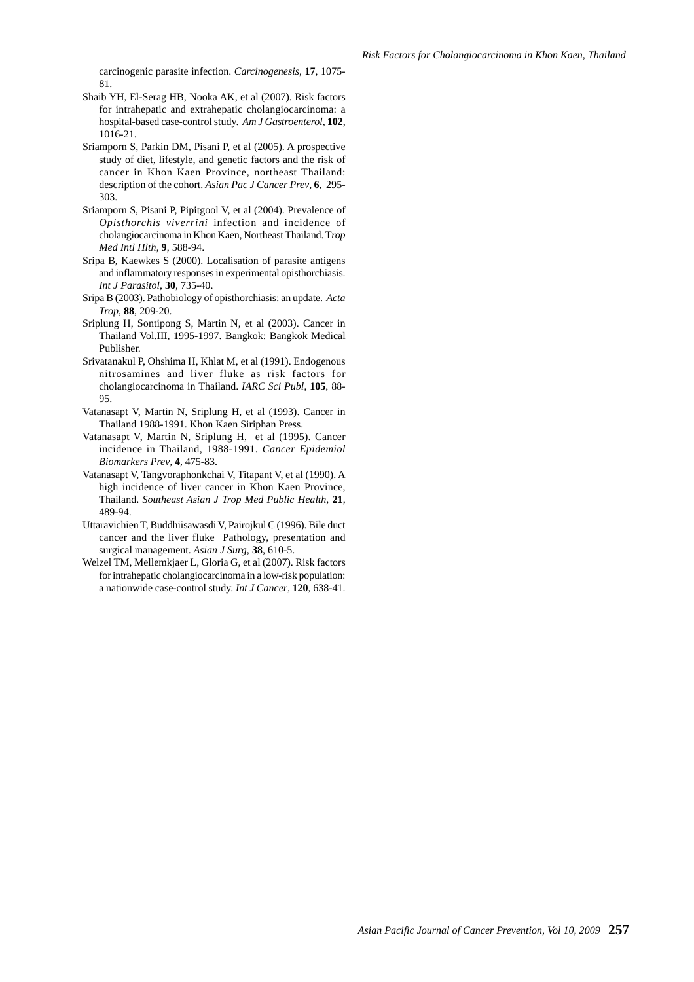carcinogenic parasite infection. *Carcinogenesis*, **17**, 1075- 81.

- Shaib YH, El-Serag HB, Nooka AK, et al (2007). Risk factors for intrahepatic and extrahepatic cholangiocarcinoma: a hospital-based case-control study. *Am J Gastroenterol*, **102**, 1016-21.
- Sriamporn S, Parkin DM, Pisani P, et al (2005). A prospective study of diet, lifestyle, and genetic factors and the risk of cancer in Khon Kaen Province, northeast Thailand: description of the cohort. *Asian Pac J Cancer Prev*, **6**, 295- 303.
- Sriamporn S, Pisani P, Pipitgool V, et al (2004). Prevalence of *Opisthorchis viverrini* infection and incidence of cholangiocarcinoma in Khon Kaen, Northeast Thailand. T*rop Med Intl Hlth*, **9**, 588-94.
- Sripa B, Kaewkes S (2000). Localisation of parasite antigens and inflammatory responses in experimental opisthorchiasis. *Int J Parasitol*, **30**, 735-40.
- Sripa B (2003). Pathobiology of opisthorchiasis: an update. *Acta Trop*, **88**, 209-20.
- Sriplung H, Sontipong S, Martin N, et al (2003). Cancer in Thailand Vol.III, 1995-1997. Bangkok: Bangkok Medical Publisher.
- Srivatanakul P, Ohshima H, Khlat M, et al (1991). Endogenous nitrosamines and liver fluke as risk factors for cholangiocarcinoma in Thailand. *IARC Sci Publ*, **105**, 88- 95.
- Vatanasapt V, Martin N, Sriplung H, et al (1993). Cancer in Thailand 1988-1991. Khon Kaen Siriphan Press.
- Vatanasapt V, Martin N, Sriplung H, et al (1995). Cancer incidence in Thailand, 1988-1991. *Cancer Epidemiol Biomarkers Prev*, **4**, 475-83.
- Vatanasapt V, Tangvoraphonkchai V, Titapant V, et al (1990). A high incidence of liver cancer in Khon Kaen Province, Thailand. *Southeast Asian J Trop Med Public Health*, **21**, 489-94.
- Uttaravichien T, Buddhiisawasdi V, Pairojkul C (1996). Bile duct cancer and the liver fluke Pathology, presentation and surgical management. *Asian J Surg*, **38**, 610-5.
- Welzel TM, Mellemkjaer L, Gloria G, et al (2007). Risk factors for intrahepatic cholangiocarcinoma in a low-risk population: a nationwide case-control study. *Int J Cancer*, **120**, 638-41.